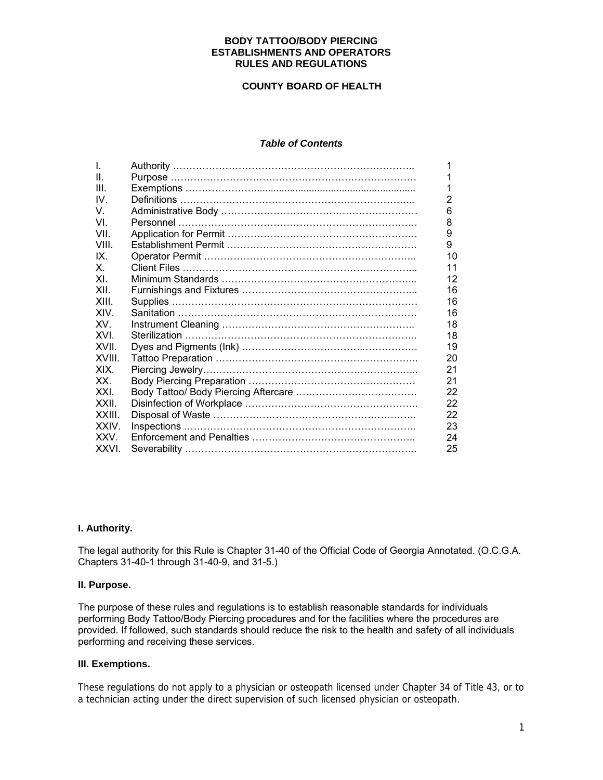#### **BODY TATTOO/BODY PIERCING ESTABLISHMENTS AND OPERATORS RULES AND REGULATIONS**

## **COUNTY BOARD OF HEALTH**

## *Table of Contents*

| T.         | 1              |
|------------|----------------|
| $\Pi$ .    | 1              |
| III.       | 1              |
| IV.        | $\overline{2}$ |
| V.         | 6              |
| VI         | 8              |
| VIL        | 9              |
| VIII.      | 9              |
| IX         | 10             |
| $X_{-}$    | 11             |
| XL         | 12             |
| XII        | 16             |
| XIII.      | 16             |
| <b>XIV</b> | 16             |
| XV.        | 18             |
| XVI        | 18             |
| XVII       | 19             |
| XVIII.     | 20             |
| XIX.       | 21             |
| XX.        | 21             |
| XXI        | 22             |
| XXII.      | 22             |
| XXIII.     | 22             |
| XXIV.      | 23             |
| <b>XXV</b> | 24             |
| XXVI.      | 25             |
|            |                |

#### **I. Authority.**

The legal authority for this Rule is Chapter 31-40 of the Official Code of Georgia Annotated. (O.C.G.A. Chapters 31-40-1 through 31-40-9, and 31-5.)

## **II. Purpose.**

The purpose of these rules and regulations is to establish reasonable standards for individuals performing Body Tattoo/Body Piercing procedures and for the facilities where the procedures are provided. If followed, such standards should reduce the risk to the health and safety of all individuals performing and receiving these services.

#### **III. Exemptions.**

These regulations do not apply to a physician or osteopath licensed under Chapter 34 of Title 43, or to a technician acting under the direct supervision of such licensed physician or osteopath.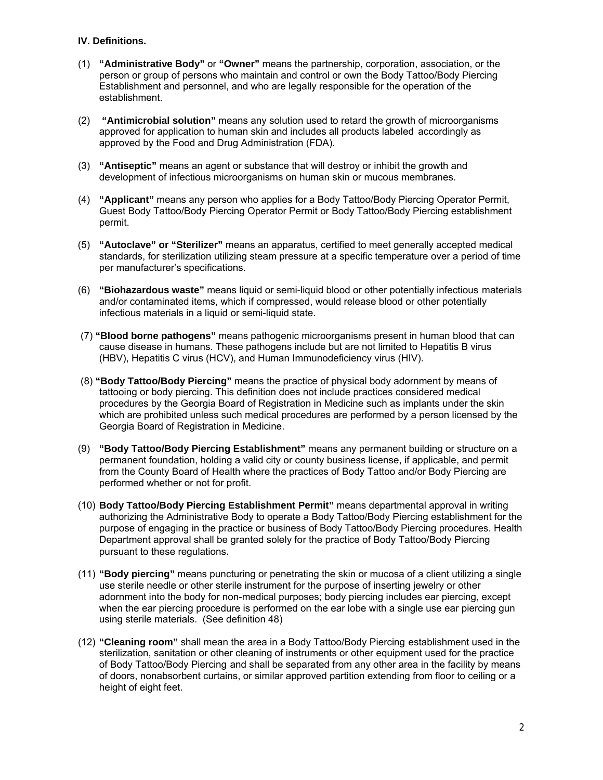## **IV. Definitions.**

- (1) **"Administrative Body"** or **"Owner"** means the partnership, corporation, association, or the person or group of persons who maintain and control or own the Body Tattoo/Body Piercing Establishment and personnel, and who are legally responsible for the operation of the establishment.
- (2) **"Antimicrobial solution"** means any solution used to retard the growth of microorganisms approved for application to human skin and includes all products labeled accordingly as approved by the Food and Drug Administration (FDA).
- (3) **"Antiseptic"** means an agent or substance that will destroy or inhibit the growth and development of infectious microorganisms on human skin or mucous membranes.
- (4) **"Applicant"** means any person who applies for a Body Tattoo/Body Piercing Operator Permit, Guest Body Tattoo/Body Piercing Operator Permit or Body Tattoo/Body Piercing establishment permit.
- (5) **"Autoclave" or "Sterilizer"** means an apparatus, certified to meet generally accepted medical standards, for sterilization utilizing steam pressure at a specific temperature over a period of time per manufacturer's specifications.
- (6) **"Biohazardous waste"** means liquid or semi-liquid blood or other potentially infectious materials and/or contaminated items, which if compressed, would release blood or other potentially infectious materials in a liquid or semi-liquid state.
- (7) **"Blood borne pathogens"** means pathogenic microorganisms present in human blood that can cause disease in humans. These pathogens include but are not limited to Hepatitis B virus (HBV), Hepatitis C virus (HCV), and Human Immunodeficiency virus (HIV).
- (8) **"Body Tattoo/Body Piercing"** means the practice of physical body adornment by means of tattooing or body piercing. This definition does not include practices considered medical procedures by the Georgia Board of Registration in Medicine such as implants under the skin which are prohibited unless such medical procedures are performed by a person licensed by the Georgia Board of Registration in Medicine.
- (9) **"Body Tattoo/Body Piercing Establishment"** means any permanent building or structure on a permanent foundation, holding a valid city or county business license, if applicable, and permit from the County Board of Health where the practices of Body Tattoo and/or Body Piercing are performed whether or not for profit.
- (10) **Body Tattoo/Body Piercing Establishment Permit"** means departmental approval in writing authorizing the Administrative Body to operate a Body Tattoo/Body Piercing establishment for the purpose of engaging in the practice or business of Body Tattoo/Body Piercing procedures. Health Department approval shall be granted solely for the practice of Body Tattoo/Body Piercing pursuant to these regulations.
- (11) **"Body piercing"** means puncturing or penetrating the skin or mucosa of a client utilizing a single use sterile needle or other sterile instrument for the purpose of inserting jewelry or other adornment into the body for non-medical purposes; body piercing includes ear piercing, except when the ear piercing procedure is performed on the ear lobe with a single use ear piercing gun using sterile materials. (See definition 48)
- (12) **"Cleaning room"** shall mean the area in a Body Tattoo/Body Piercing establishment used in the sterilization, sanitation or other cleaning of instruments or other equipment used for the practice of Body Tattoo/Body Piercing and shall be separated from any other area in the facility by means of doors, nonabsorbent curtains, or similar approved partition extending from floor to ceiling or a height of eight feet.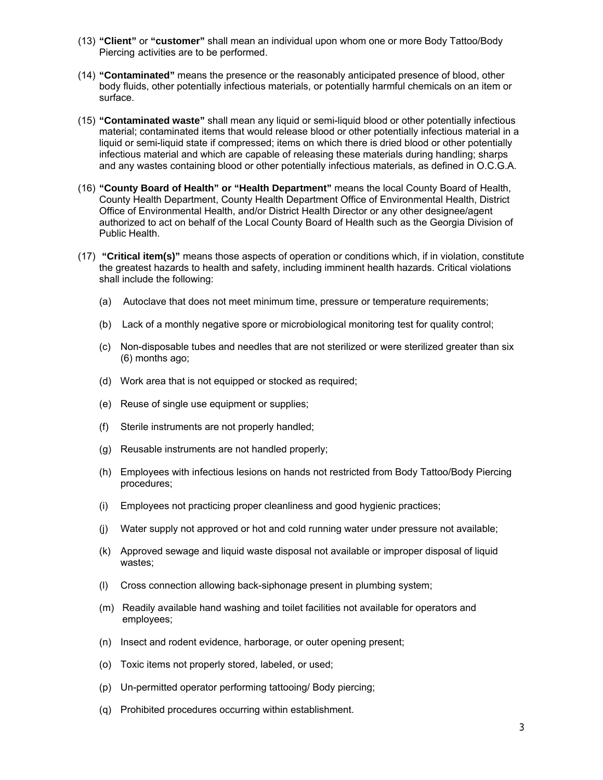- (13) **"Client"** or **"customer"** shall mean an individual upon whom one or more Body Tattoo/Body Piercing activities are to be performed.
- (14) **"Contaminated"** means the presence or the reasonably anticipated presence of blood, other body fluids, other potentially infectious materials, or potentially harmful chemicals on an item or surface.
- (15) **"Contaminated waste"** shall mean any liquid or semi-liquid blood or other potentially infectious material; contaminated items that would release blood or other potentially infectious material in a liquid or semi-liquid state if compressed; items on which there is dried blood or other potentially infectious material and which are capable of releasing these materials during handling; sharps and any wastes containing blood or other potentially infectious materials, as defined in O.C.G.A.
- (16) **"County Board of Health" or "Health Department"** means the local County Board of Health, County Health Department, County Health Department Office of Environmental Health, District Office of Environmental Health, and/or District Health Director or any other designee/agent authorized to act on behalf of the Local County Board of Health such as the Georgia Division of Public Health.
- (17) **"Critical item(s)"** means those aspects of operation or conditions which, if in violation, constitute the greatest hazards to health and safety, including imminent health hazards. Critical violations shall include the following:
	- (a) Autoclave that does not meet minimum time, pressure or temperature requirements;
	- (b) Lack of a monthly negative spore or microbiological monitoring test for quality control;
	- (c) Non-disposable tubes and needles that are not sterilized or were sterilized greater than six (6) months ago;
	- (d) Work area that is not equipped or stocked as required;
	- (e) Reuse of single use equipment or supplies;
	- (f) Sterile instruments are not properly handled;
	- (g) Reusable instruments are not handled properly;
	- (h) Employees with infectious lesions on hands not restricted from Body Tattoo/Body Piercing procedures;
	- (i) Employees not practicing proper cleanliness and good hygienic practices;
	- (j) Water supply not approved or hot and cold running water under pressure not available;
	- (k) Approved sewage and liquid waste disposal not available or improper disposal of liquid wastes;
	- (l) Cross connection allowing back-siphonage present in plumbing system;
	- (m) Readily available hand washing and toilet facilities not available for operators and employees;
	- (n) Insect and rodent evidence, harborage, or outer opening present;
	- (o) Toxic items not properly stored, labeled, or used;
	- (p) Un-permitted operator performing tattooing/ Body piercing;
	- (q) Prohibited procedures occurring within establishment.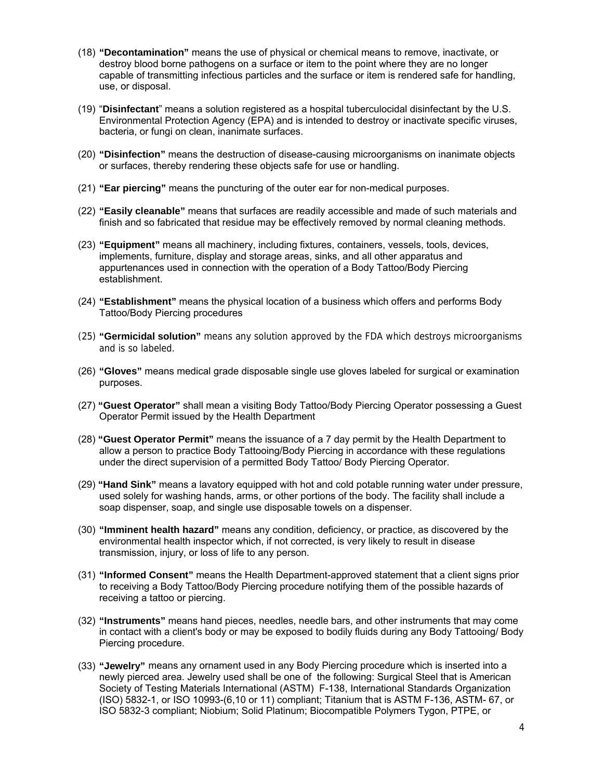- (18) **"Decontamination"** means the use of physical or chemical means to remove, inactivate, or destroy blood borne pathogens on a surface or item to the point where they are no longer capable of transmitting infectious particles and the surface or item is rendered safe for handling, use, or disposal.
- (19) "**Disinfectant**" means a solution registered as a hospital tuberculocidal disinfectant by the U.S. Environmental Protection Agency (EPA) and is intended to destroy or inactivate specific viruses, bacteria, or fungi on clean, inanimate surfaces.
- (20) **"Disinfection"** means the destruction of disease-causing microorganisms on inanimate objects or surfaces, thereby rendering these objects safe for use or handling.
- (21) **"Ear piercing"** means the puncturing of the outer ear for non-medical purposes.
- (22) **"Easily cleanable"** means that surfaces are readily accessible and made of such materials and finish and so fabricated that residue may be effectively removed by normal cleaning methods.
- (23) **"Equipment"** means all machinery, including fixtures, containers, vessels, tools, devices, implements, furniture, display and storage areas, sinks, and all other apparatus and appurtenances used in connection with the operation of a Body Tattoo/Body Piercing establishment.
- (24) **"Establishment"** means the physical location of a business which offers and performs Body Tattoo/Body Piercing procedures
- (25) **"Germicidal solution"** means any solution approved by the FDA which destroys microorganisms and is so labeled.
- (26) **"Gloves"** means medical grade disposable single use gloves labeled for surgical or examination purposes.
- (27) **"Guest Operator"** shall mean a visiting Body Tattoo/Body Piercing Operator possessing a Guest Operator Permit issued by the Health Department
- (28) **"Guest Operator Permit"** means the issuance of a 7 day permit by the Health Department to allow a person to practice Body Tattooing/Body Piercing in accordance with these regulations under the direct supervision of a permitted Body Tattoo/ Body Piercing Operator.
- (29) **"Hand Sink"** means a lavatory equipped with hot and cold potable running water under pressure, used solely for washing hands, arms, or other portions of the body. The facility shall include a soap dispenser, soap, and single use disposable towels on a dispenser.
- (30) **"Imminent health hazard"** means any condition, deficiency, or practice, as discovered by the environmental health inspector which, if not corrected, is very likely to result in disease transmission, injury, or loss of life to any person.
- (31) **"Informed Consent"** means the Health Department-approved statement that a client signs prior to receiving a Body Tattoo/Body Piercing procedure notifying them of the possible hazards of receiving a tattoo or piercing.
- (32) **"Instruments"** means hand pieces, needles, needle bars, and other instruments that may come in contact with a client's body or may be exposed to bodily fluids during any Body Tattooing/ Body Piercing procedure.
- (33) **"Jewelry"** means any ornament used in any Body Piercing procedure which is inserted into a newly pierced area. Jewelry used shall be one of the following: Surgical Steel that is American Society of Testing Materials International (ASTM) F-138, International Standards Organization (ISO) 5832-1, or ISO 10993-(6,10 or 11) compliant; Titanium that is ASTM F-136, ASTM- 67, or ISO 5832-3 compliant; Niobium; Solid Platinum; Biocompatible Polymers Tygon, PTPE, or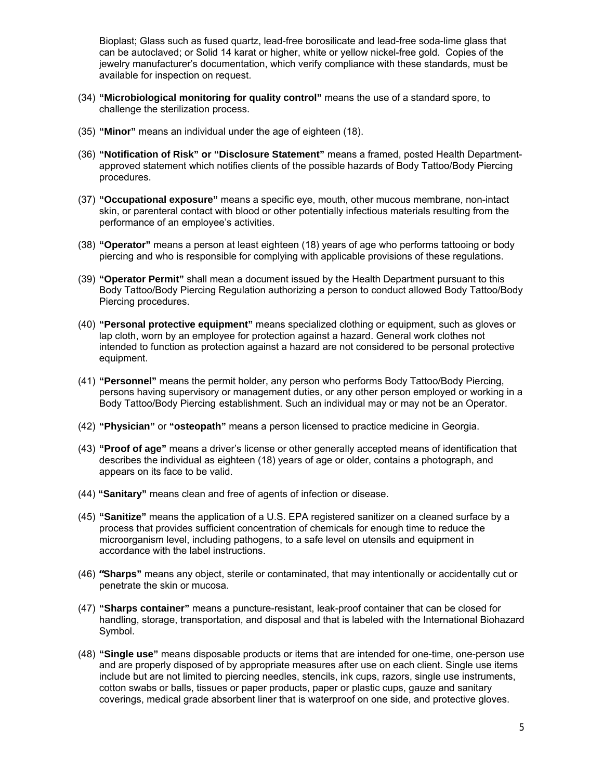Bioplast; Glass such as fused quartz, lead-free borosilicate and lead-free soda-lime glass that can be autoclaved; or Solid 14 karat or higher, white or yellow nickel-free gold. Copies of the jewelry manufacturer's documentation, which verify compliance with these standards, must be available for inspection on request.

- (34) **"Microbiological monitoring for quality control"** means the use of a standard spore, to challenge the sterilization process.
- (35) **"Minor"** means an individual under the age of eighteen (18).
- (36) **"Notification of Risk" or "Disclosure Statement"** means a framed, posted Health Departmentapproved statement which notifies clients of the possible hazards of Body Tattoo/Body Piercing procedures.
- (37) **"Occupational exposure"** means a specific eye, mouth, other mucous membrane, non-intact skin, or parenteral contact with blood or other potentially infectious materials resulting from the performance of an employee's activities.
- (38) **"Operator"** means a person at least eighteen (18) years of age who performs tattooing or body piercing and who is responsible for complying with applicable provisions of these regulations.
- (39) **"Operator Permit"** shall mean a document issued by the Health Department pursuant to this Body Tattoo/Body Piercing Regulation authorizing a person to conduct allowed Body Tattoo/Body Piercing procedures.
- (40) **"Personal protective equipment"** means specialized clothing or equipment, such as gloves or lap cloth, worn by an employee for protection against a hazard. General work clothes not intended to function as protection against a hazard are not considered to be personal protective equipment.
- (41) **"Personnel"** means the permit holder, any person who performs Body Tattoo/Body Piercing, persons having supervisory or management duties, or any other person employed or working in a Body Tattoo/Body Piercing establishment. Such an individual may or may not be an Operator.
- (42) **"Physician"** or **"osteopath"** means a person licensed to practice medicine in Georgia.
- (43) **"Proof of age"** means a driver's license or other generally accepted means of identification that describes the individual as eighteen (18) years of age or older, contains a photograph, and appears on its face to be valid.
- (44) **"Sanitary"** means clean and free of agents of infection or disease.
- (45) **"Sanitize"** means the application of a U.S. EPA registered sanitizer on a cleaned surface by a process that provides sufficient concentration of chemicals for enough time to reduce the microorganism level, including pathogens, to a safe level on utensils and equipment in accordance with the label instructions.
- (46) **"Sharps"** means any object, sterile or contaminated, that may intentionally or accidentally cut or penetrate the skin or mucosa.
- (47) **"Sharps container"** means a puncture-resistant, leak-proof container that can be closed for handling, storage, transportation, and disposal and that is labeled with the International Biohazard Symbol.
- (48) **"Single use"** means disposable products or items that are intended for one-time, one-person use and are properly disposed of by appropriate measures after use on each client. Single use items include but are not limited to piercing needles, stencils, ink cups, razors, single use instruments, cotton swabs or balls, tissues or paper products, paper or plastic cups, gauze and sanitary coverings, medical grade absorbent liner that is waterproof on one side, and protective gloves.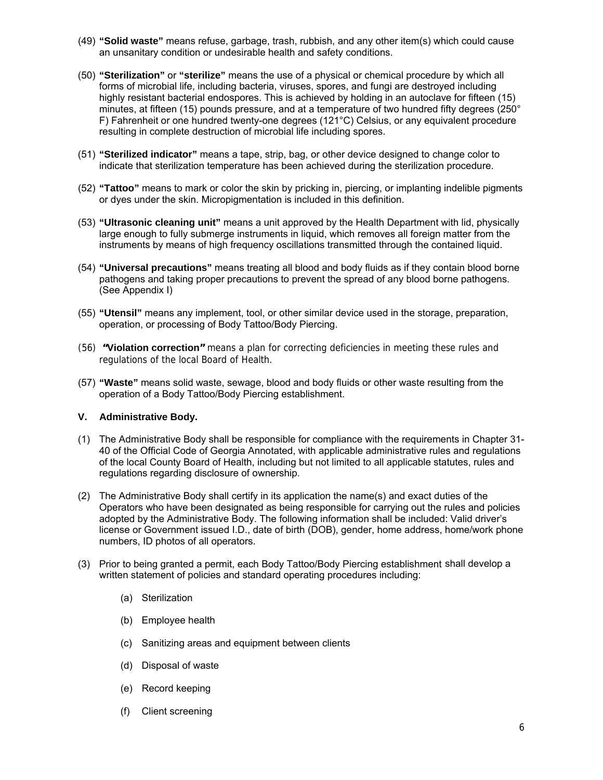- (49) **"Solid waste"** means refuse, garbage, trash, rubbish, and any other item(s) which could cause an unsanitary condition or undesirable health and safety conditions.
- (50) **"Sterilization"** or **"sterilize"** means the use of a physical or chemical procedure by which all forms of microbial life, including bacteria, viruses, spores, and fungi are destroyed including highly resistant bacterial endospores. This is achieved by holding in an autoclave for fifteen (15) minutes, at fifteen (15) pounds pressure, and at a temperature of two hundred fifty degrees (250° F) Fahrenheit or one hundred twenty-one degrees (121°C) Celsius, or any equivalent procedure resulting in complete destruction of microbial life including spores.
- (51) **"Sterilized indicator"** means a tape, strip, bag, or other device designed to change color to indicate that sterilization temperature has been achieved during the sterilization procedure.
- (52) **"Tattoo"** means to mark or color the skin by pricking in, piercing, or implanting indelible pigments or dyes under the skin. Micropigmentation is included in this definition.
- (53) **"Ultrasonic cleaning unit"** means a unit approved by the Health Department with lid, physically large enough to fully submerge instruments in liquid, which removes all foreign matter from the instruments by means of high frequency oscillations transmitted through the contained liquid.
- (54) **"Universal precautions"** means treating all blood and body fluids as if they contain blood borne pathogens and taking proper precautions to prevent the spread of any blood borne pathogens. (See Appendix I)
- (55) **"Utensil"** means any implement, tool, or other similar device used in the storage, preparation, operation, or processing of Body Tattoo/Body Piercing.
- (56) **"Violation correction"** means a plan for correcting deficiencies in meeting these rules and regulations of the local Board of Health.
- (57) **"Waste"** means solid waste, sewage, blood and body fluids or other waste resulting from the operation of a Body Tattoo/Body Piercing establishment.

#### **V. Administrative Body.**

- (1) The Administrative Body shall be responsible for compliance with the requirements in Chapter 31- 40 of the Official Code of Georgia Annotated, with applicable administrative rules and regulations of the local County Board of Health, including but not limited to all applicable statutes, rules and regulations regarding disclosure of ownership.
- (2) The Administrative Body shall certify in its application the name(s) and exact duties of the Operators who have been designated as being responsible for carrying out the rules and policies adopted by the Administrative Body. The following information shall be included: Valid driver's license or Government issued I.D., date of birth (DOB), gender, home address, home/work phone numbers, ID photos of all operators.
- (3) Prior to being granted a permit, each Body Tattoo/Body Piercing establishment shall develop a written statement of policies and standard operating procedures including:
	- (a) Sterilization
	- (b) Employee health
	- (c) Sanitizing areas and equipment between clients
	- (d) Disposal of waste
	- (e) Record keeping
	- (f) Client screening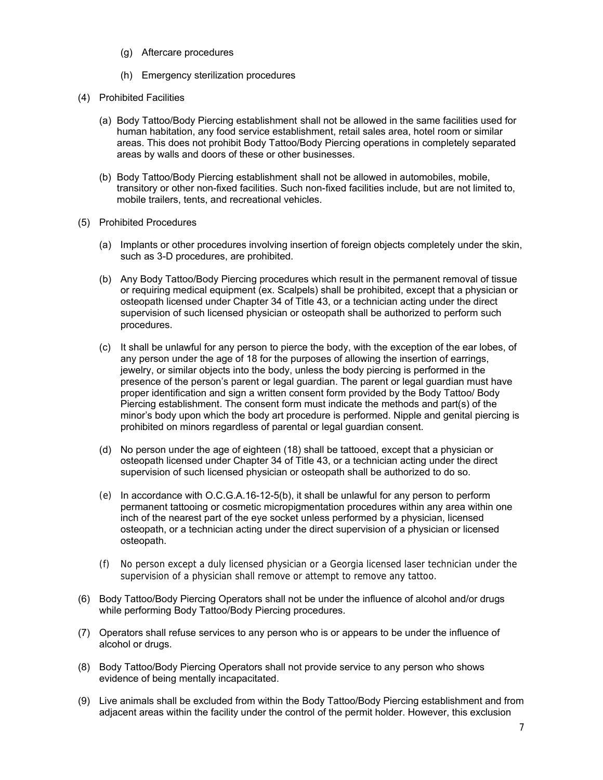- (g) Aftercare procedures
- (h) Emergency sterilization procedures
- (4) Prohibited Facilities
	- (a) Body Tattoo/Body Piercing establishment shall not be allowed in the same facilities used for human habitation, any food service establishment, retail sales area, hotel room or similar areas. This does not prohibit Body Tattoo/Body Piercing operations in completely separated areas by walls and doors of these or other businesses.
	- (b) Body Tattoo/Body Piercing establishment shall not be allowed in automobiles, mobile, transitory or other non-fixed facilities. Such non-fixed facilities include, but are not limited to, mobile trailers, tents, and recreational vehicles.
- (5) Prohibited Procedures
	- (a) Implants or other procedures involving insertion of foreign objects completely under the skin, such as 3-D procedures, are prohibited.
	- (b) Any Body Tattoo/Body Piercing procedures which result in the permanent removal of tissue or requiring medical equipment (ex. Scalpels) shall be prohibited, except that a physician or osteopath licensed under Chapter 34 of Title 43, or a technician acting under the direct supervision of such licensed physician or osteopath shall be authorized to perform such procedures.
	- (c) It shall be unlawful for any person to pierce the body, with the exception of the ear lobes, of any person under the age of 18 for the purposes of allowing the insertion of earrings, jewelry, or similar objects into the body, unless the body piercing is performed in the presence of the person's parent or legal guardian. The parent or legal guardian must have proper identification and sign a written consent form provided by the Body Tattoo/ Body Piercing establishment. The consent form must indicate the methods and part(s) of the minor's body upon which the body art procedure is performed. Nipple and genital piercing is prohibited on minors regardless of parental or legal guardian consent.
	- (d) No person under the age of eighteen (18) shall be tattooed, except that a physician or osteopath licensed under Chapter 34 of Title 43, or a technician acting under the direct supervision of such licensed physician or osteopath shall be authorized to do so.
	- (e) In accordance with O.C.G.A.16-12-5(b), it shall be unlawful for any person to perform permanent tattooing or cosmetic micropigmentation procedures within any area within one inch of the nearest part of the eye socket unless performed by a physician, licensed osteopath, or a technician acting under the direct supervision of a physician or licensed osteopath.
	- (f) No person except a duly licensed physician or a Georgia licensed laser technician under the supervision of a physician shall remove or attempt to remove any tattoo.
- (6) Body Tattoo/Body Piercing Operators shall not be under the influence of alcohol and/or drugs while performing Body Tattoo/Body Piercing procedures.
- (7) Operators shall refuse services to any person who is or appears to be under the influence of alcohol or drugs.
- (8) Body Tattoo/Body Piercing Operators shall not provide service to any person who shows evidence of being mentally incapacitated.
- (9) Live animals shall be excluded from within the Body Tattoo/Body Piercing establishment and from adjacent areas within the facility under the control of the permit holder. However, this exclusion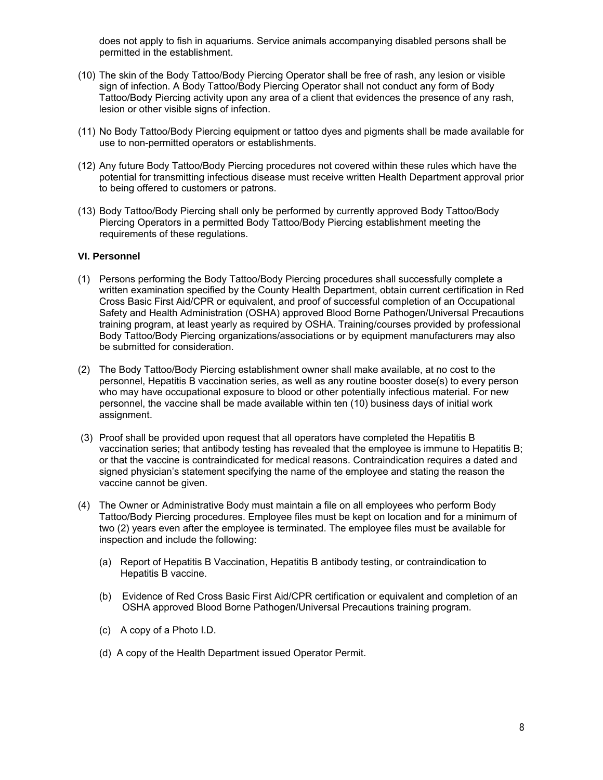does not apply to fish in aquariums. Service animals accompanying disabled persons shall be permitted in the establishment.

- (10) The skin of the Body Tattoo/Body Piercing Operator shall be free of rash, any lesion or visible sign of infection. A Body Tattoo/Body Piercing Operator shall not conduct any form of Body Tattoo/Body Piercing activity upon any area of a client that evidences the presence of any rash, lesion or other visible signs of infection.
- (11) No Body Tattoo/Body Piercing equipment or tattoo dyes and pigments shall be made available for use to non-permitted operators or establishments.
- (12) Any future Body Tattoo/Body Piercing procedures not covered within these rules which have the potential for transmitting infectious disease must receive written Health Department approval prior to being offered to customers or patrons.
- (13) Body Tattoo/Body Piercing shall only be performed by currently approved Body Tattoo/Body Piercing Operators in a permitted Body Tattoo/Body Piercing establishment meeting the requirements of these regulations.

#### **VI. Personnel**

- (1) Persons performing the Body Tattoo/Body Piercing procedures shall successfully complete a written examination specified by the County Health Department, obtain current certification in Red Cross Basic First Aid/CPR or equivalent, and proof of successful completion of an Occupational Safety and Health Administration (OSHA) approved Blood Borne Pathogen/Universal Precautions training program, at least yearly as required by OSHA. Training/courses provided by professional Body Tattoo/Body Piercing organizations/associations or by equipment manufacturers may also be submitted for consideration.
- (2) The Body Tattoo/Body Piercing establishment owner shall make available, at no cost to the personnel, Hepatitis B vaccination series, as well as any routine booster dose(s) to every person who may have occupational exposure to blood or other potentially infectious material. For new personnel, the vaccine shall be made available within ten (10) business days of initial work assignment.
- (3) Proof shall be provided upon request that all operators have completed the Hepatitis B vaccination series; that antibody testing has revealed that the employee is immune to Hepatitis B; or that the vaccine is contraindicated for medical reasons. Contraindication requires a dated and signed physician's statement specifying the name of the employee and stating the reason the vaccine cannot be given.
- (4) The Owner or Administrative Body must maintain a file on all employees who perform Body Tattoo/Body Piercing procedures. Employee files must be kept on location and for a minimum of two (2) years even after the employee is terminated. The employee files must be available for inspection and include the following:
	- (a) Report of Hepatitis B Vaccination, Hepatitis B antibody testing, or contraindication to Hepatitis B vaccine.
	- (b) Evidence of Red Cross Basic First Aid/CPR certification or equivalent and completion of an OSHA approved Blood Borne Pathogen/Universal Precautions training program.
	- (c) A copy of a Photo I.D.
	- (d) A copy of the Health Department issued Operator Permit.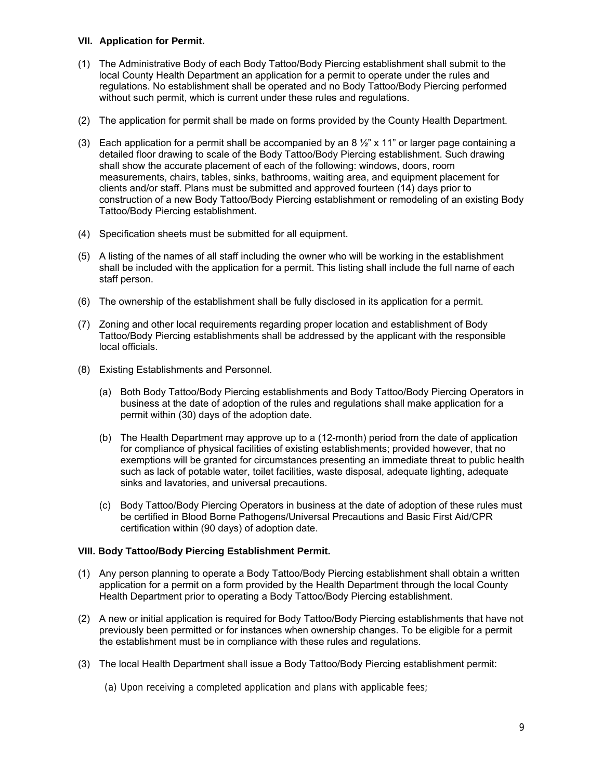## **VII. Application for Permit.**

- (1) The Administrative Body of each Body Tattoo/Body Piercing establishment shall submit to the local County Health Department an application for a permit to operate under the rules and regulations. No establishment shall be operated and no Body Tattoo/Body Piercing performed without such permit, which is current under these rules and regulations.
- (2) The application for permit shall be made on forms provided by the County Health Department.
- (3) Each application for a permit shall be accompanied by an  $8\frac{1}{2}$ " x 11" or larger page containing a detailed floor drawing to scale of the Body Tattoo/Body Piercing establishment. Such drawing shall show the accurate placement of each of the following: windows, doors, room measurements, chairs, tables, sinks, bathrooms, waiting area, and equipment placement for clients and/or staff. Plans must be submitted and approved fourteen (14) days prior to construction of a new Body Tattoo/Body Piercing establishment or remodeling of an existing Body Tattoo/Body Piercing establishment.
- (4) Specification sheets must be submitted for all equipment.
- (5) A listing of the names of all staff including the owner who will be working in the establishment shall be included with the application for a permit. This listing shall include the full name of each staff person.
- (6) The ownership of the establishment shall be fully disclosed in its application for a permit.
- (7) Zoning and other local requirements regarding proper location and establishment of Body Tattoo/Body Piercing establishments shall be addressed by the applicant with the responsible local officials.
- (8) Existing Establishments and Personnel.
	- (a) Both Body Tattoo/Body Piercing establishments and Body Tattoo/Body Piercing Operators in business at the date of adoption of the rules and regulations shall make application for a permit within (30) days of the adoption date.
	- (b) The Health Department may approve up to a (12-month) period from the date of application for compliance of physical facilities of existing establishments; provided however, that no exemptions will be granted for circumstances presenting an immediate threat to public health such as lack of potable water, toilet facilities, waste disposal, adequate lighting, adequate sinks and lavatories, and universal precautions.
	- (c) Body Tattoo/Body Piercing Operators in business at the date of adoption of these rules must be certified in Blood Borne Pathogens/Universal Precautions and Basic First Aid/CPR certification within (90 days) of adoption date.

# **VIII. Body Tattoo/Body Piercing Establishment Permit.**

- (1) Any person planning to operate a Body Tattoo/Body Piercing establishment shall obtain a written application for a permit on a form provided by the Health Department through the local County Health Department prior to operating a Body Tattoo/Body Piercing establishment.
- (2) A new or initial application is required for Body Tattoo/Body Piercing establishments that have not previously been permitted or for instances when ownership changes. To be eligible for a permit the establishment must be in compliance with these rules and regulations.
- (3) The local Health Department shall issue a Body Tattoo/Body Piercing establishment permit:
	- (a) Upon receiving a completed application and plans with applicable fees;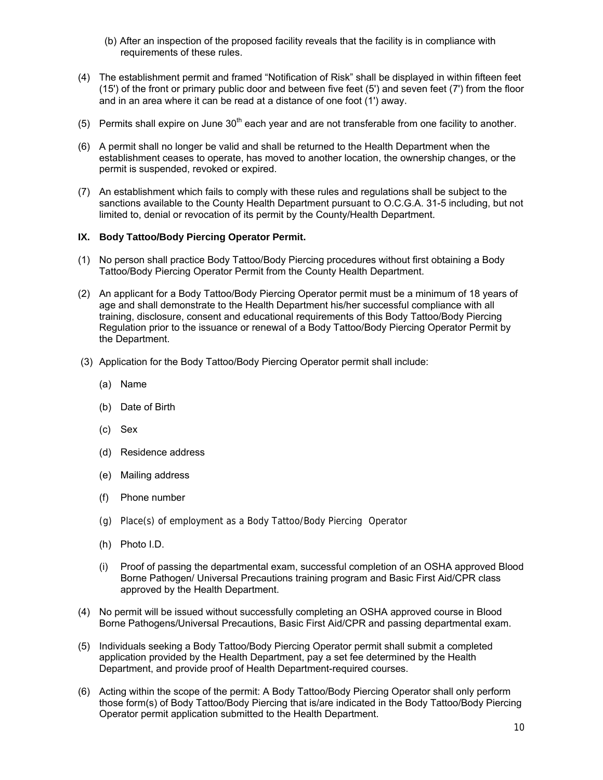- (b) After an inspection of the proposed facility reveals that the facility is in compliance with requirements of these rules.
- (4) The establishment permit and framed "Notification of Risk" shall be displayed in within fifteen feet (15') of the front or primary public door and between five feet (5') and seven feet (7') from the floor and in an area where it can be read at a distance of one foot (1') away.
- (5) Permits shall expire on June  $30<sup>th</sup>$  each year and are not transferable from one facility to another.
- (6) A permit shall no longer be valid and shall be returned to the Health Department when the establishment ceases to operate, has moved to another location, the ownership changes, or the permit is suspended, revoked or expired.
- (7) An establishment which fails to comply with these rules and regulations shall be subject to the sanctions available to the County Health Department pursuant to O.C.G.A. 31-5 including, but not limited to, denial or revocation of its permit by the County/Health Department.

## **IX. Body Tattoo/Body Piercing Operator Permit.**

- (1) No person shall practice Body Tattoo/Body Piercing procedures without first obtaining a Body Tattoo/Body Piercing Operator Permit from the County Health Department.
- (2) An applicant for a Body Tattoo/Body Piercing Operator permit must be a minimum of 18 years of age and shall demonstrate to the Health Department his/her successful compliance with all training, disclosure, consent and educational requirements of this Body Tattoo/Body Piercing Regulation prior to the issuance or renewal of a Body Tattoo/Body Piercing Operator Permit by the Department.
- (3) Application for the Body Tattoo/Body Piercing Operator permit shall include:
	- (a) Name
	- (b) Date of Birth
	- (c) Sex
	- (d) Residence address
	- (e) Mailing address
	- (f) Phone number
	- (g) Place(s) of employment as a Body Tattoo/Body Piercing Operator
	- (h) Photo I.D.
	- (i) Proof of passing the departmental exam, successful completion of an OSHA approved Blood Borne Pathogen/ Universal Precautions training program and Basic First Aid/CPR class approved by the Health Department.
- (4) No permit will be issued without successfully completing an OSHA approved course in Blood Borne Pathogens/Universal Precautions, Basic First Aid/CPR and passing departmental exam.
- (5) Individuals seeking a Body Tattoo/Body Piercing Operator permit shall submit a completed application provided by the Health Department, pay a set fee determined by the Health Department, and provide proof of Health Department-required courses.
- (6) Acting within the scope of the permit: A Body Tattoo/Body Piercing Operator shall only perform those form(s) of Body Tattoo/Body Piercing that is/are indicated in the Body Tattoo/Body Piercing Operator permit application submitted to the Health Department.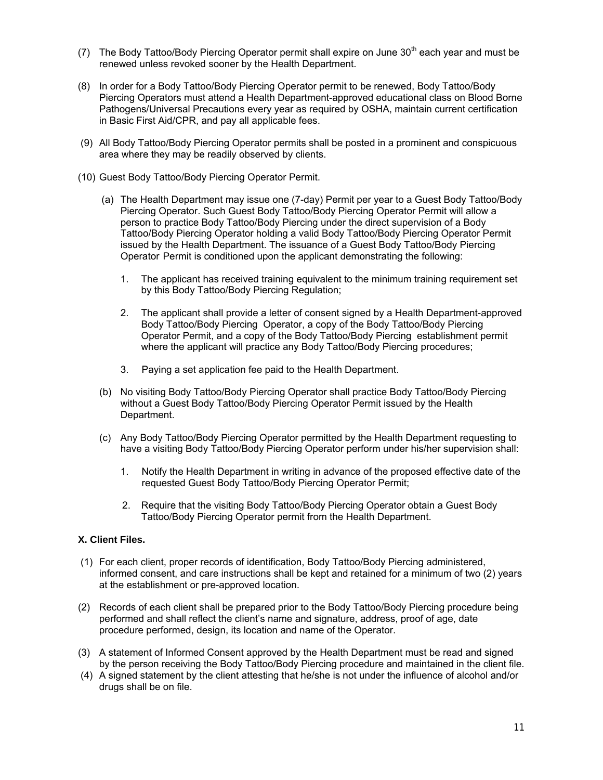- (7) The Body Tattoo/Body Piercing Operator permit shall expire on June 30<sup>th</sup> each year and must be renewed unless revoked sooner by the Health Department.
- (8) In order for a Body Tattoo/Body Piercing Operator permit to be renewed, Body Tattoo/Body Piercing Operators must attend a Health Department-approved educational class on Blood Borne Pathogens/Universal Precautions every year as required by OSHA, maintain current certification in Basic First Aid/CPR, and pay all applicable fees.
- (9) All Body Tattoo/Body Piercing Operator permits shall be posted in a prominent and conspicuous area where they may be readily observed by clients.
- (10) Guest Body Tattoo/Body Piercing Operator Permit.
	- (a) The Health Department may issue one (7-day) Permit per year to a Guest Body Tattoo/Body Piercing Operator. Such Guest Body Tattoo/Body Piercing Operator Permit will allow a person to practice Body Tattoo/Body Piercing under the direct supervision of a Body Tattoo/Body Piercing Operator holding a valid Body Tattoo/Body Piercing Operator Permit issued by the Health Department. The issuance of a Guest Body Tattoo/Body Piercing Operator Permit is conditioned upon the applicant demonstrating the following:
		- 1. The applicant has received training equivalent to the minimum training requirement set by this Body Tattoo/Body Piercing Regulation;
		- 2. The applicant shall provide a letter of consent signed by a Health Department-approved Body Tattoo/Body Piercing Operator, a copy of the Body Tattoo/Body Piercing Operator Permit, and a copy of the Body Tattoo/Body Piercing establishment permit where the applicant will practice any Body Tattoo/Body Piercing procedures;
		- 3. Paying a set application fee paid to the Health Department.
	- (b) No visiting Body Tattoo/Body Piercing Operator shall practice Body Tattoo/Body Piercing without a Guest Body Tattoo/Body Piercing Operator Permit issued by the Health Department.
	- (c) Any Body Tattoo/Body Piercing Operator permitted by the Health Department requesting to have a visiting Body Tattoo/Body Piercing Operator perform under his/her supervision shall:
		- 1. Notify the Health Department in writing in advance of the proposed effective date of the requested Guest Body Tattoo/Body Piercing Operator Permit;
		- 2. Require that the visiting Body Tattoo/Body Piercing Operator obtain a Guest Body Tattoo/Body Piercing Operator permit from the Health Department.

# **X. Client Files.**

- (1) For each client, proper records of identification, Body Tattoo/Body Piercing administered, informed consent, and care instructions shall be kept and retained for a minimum of two (2) years at the establishment or pre-approved location.
- (2) Records of each client shall be prepared prior to the Body Tattoo/Body Piercing procedure being performed and shall reflect the client's name and signature, address, proof of age, date procedure performed, design, its location and name of the Operator.
- (3) A statement of Informed Consent approved by the Health Department must be read and signed by the person receiving the Body Tattoo/Body Piercing procedure and maintained in the client file.
- (4) A signed statement by the client attesting that he/she is not under the influence of alcohol and/or drugs shall be on file.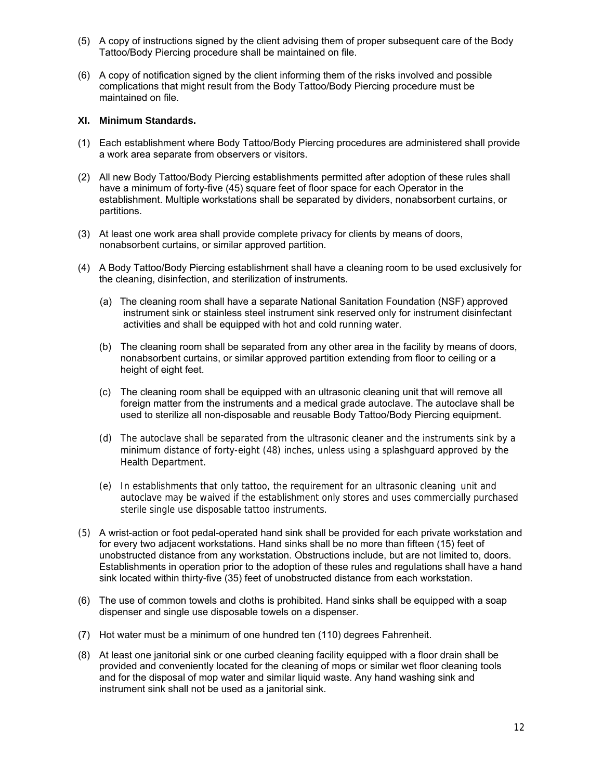- (5) A copy of instructions signed by the client advising them of proper subsequent care of the Body Tattoo/Body Piercing procedure shall be maintained on file.
- (6) A copy of notification signed by the client informing them of the risks involved and possible complications that might result from the Body Tattoo/Body Piercing procedure must be maintained on file.

## **XI. Minimum Standards.**

- (1) Each establishment where Body Tattoo/Body Piercing procedures are administered shall provide a work area separate from observers or visitors.
- (2) All new Body Tattoo/Body Piercing establishments permitted after adoption of these rules shall have a minimum of forty-five (45) square feet of floor space for each Operator in the establishment. Multiple workstations shall be separated by dividers, nonabsorbent curtains, or partitions.
- (3) At least one work area shall provide complete privacy for clients by means of doors, nonabsorbent curtains, or similar approved partition.
- (4) A Body Tattoo/Body Piercing establishment shall have a cleaning room to be used exclusively for the cleaning, disinfection, and sterilization of instruments.
	- (a) The cleaning room shall have a separate National Sanitation Foundation (NSF) approved instrument sink or stainless steel instrument sink reserved only for instrument disinfectant activities and shall be equipped with hot and cold running water.
	- (b) The cleaning room shall be separated from any other area in the facility by means of doors, nonabsorbent curtains, or similar approved partition extending from floor to ceiling or a height of eight feet.
	- (c) The cleaning room shall be equipped with an ultrasonic cleaning unit that will remove all foreign matter from the instruments and a medical grade autoclave. The autoclave shall be used to sterilize all non-disposable and reusable Body Tattoo/Body Piercing equipment.
	- (d) The autoclave shall be separated from the ultrasonic cleaner and the instruments sink by a minimum distance of forty-eight (48) inches, unless using a splashguard approved by the Health Department.
	- (e) In establishments that only tattoo, the requirement for an ultrasonic cleaning unit and autoclave may be waived if the establishment only stores and uses commercially purchased sterile single use disposable tattoo instruments.
- (5) A wrist-action or foot pedal-operated hand sink shall be provided for each private workstation and for every two adjacent workstations. Hand sinks shall be no more than fifteen (15) feet of unobstructed distance from any workstation. Obstructions include, but are not limited to, doors. Establishments in operation prior to the adoption of these rules and regulations shall have a hand sink located within thirty-five (35) feet of unobstructed distance from each workstation.
- (6) The use of common towels and cloths is prohibited. Hand sinks shall be equipped with a soap dispenser and single use disposable towels on a dispenser.
- (7) Hot water must be a minimum of one hundred ten (110) degrees Fahrenheit.
- (8) At least one janitorial sink or one curbed cleaning facility equipped with a floor drain shall be provided and conveniently located for the cleaning of mops or similar wet floor cleaning tools and for the disposal of mop water and similar liquid waste. Any hand washing sink and instrument sink shall not be used as a janitorial sink.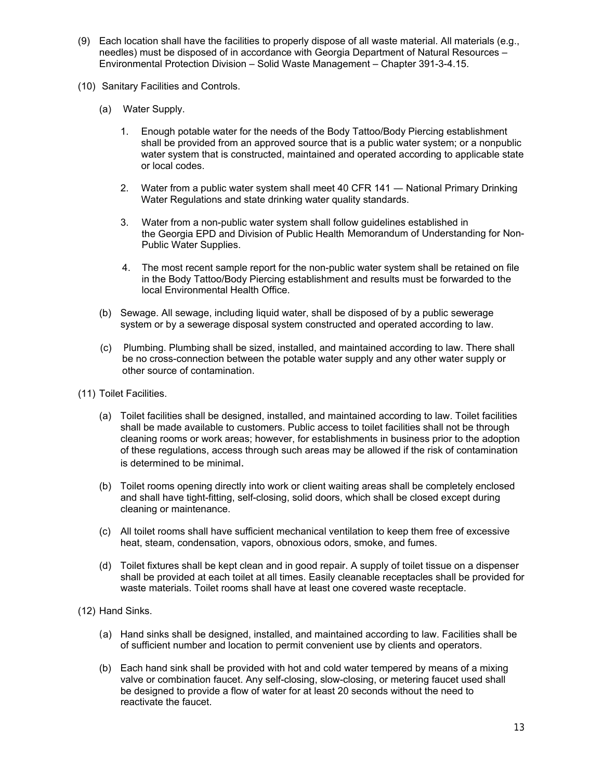- (9) Each location shall have the facilities to properly dispose of all waste material. All materials (e.g., needles) must be disposed of in accordance with Georgia Department of Natural Resources – Environmental Protection Division – Solid Waste Management – Chapter 391-3-4.15.
- (10) Sanitary Facilities and Controls.
	- (a) Water Supply.
		- 1. Enough potable water for the needs of the Body Tattoo/Body Piercing establishment shall be provided from an approved source that is a public water system; or a nonpublic water system that is constructed, maintained and operated according to applicable state or local codes.
		- 2. Water from a public water system shall meet 40 CFR 141 ― National Primary Drinking Water Regulations and state drinking water quality standards.
		- 3. Water from a non-public water system shall follow guidelines established in the Georgia EPD and Division of Public Health Memorandum of Understanding for Non- Public Water Supplies.
		- 4. The most recent sample report for the non-public water system shall be retained on file in the Body Tattoo/Body Piercing establishment and results must be forwarded to the local Environmental Health Office.
	- (b) Sewage. All sewage, including liquid water, shall be disposed of by a public sewerage system or by a sewerage disposal system constructed and operated according to law.
	- (c) Plumbing. Plumbing shall be sized, installed, and maintained according to law. There shall be no cross-connection between the potable water supply and any other water supply or other source of contamination.
- (11) Toilet Facilities.
	- (a) Toilet facilities shall be designed, installed, and maintained according to law. Toilet facilities shall be made available to customers. Public access to toilet facilities shall not be through cleaning rooms or work areas; however, for establishments in business prior to the adoption of these regulations, access through such areas may be allowed if the risk of contamination is determined to be minimal.
	- (b) Toilet rooms opening directly into work or client waiting areas shall be completely enclosed and shall have tight-fitting, self-closing, solid doors, which shall be closed except during cleaning or maintenance.
	- (c) All toilet rooms shall have sufficient mechanical ventilation to keep them free of excessive heat, steam, condensation, vapors, obnoxious odors, smoke, and fumes.
	- (d) Toilet fixtures shall be kept clean and in good repair. A supply of toilet tissue on a dispenser shall be provided at each toilet at all times. Easily cleanable receptacles shall be provided for waste materials. Toilet rooms shall have at least one covered waste receptacle.

(12) Hand Sinks.

- (a) Hand sinks shall be designed, installed, and maintained according to law. Facilities shall be of sufficient number and location to permit convenient use by clients and operators.
- (b) Each hand sink shall be provided with hot and cold water tempered by means of a mixing valve or combination faucet. Any self-closing, slow-closing, or metering faucet used shall be designed to provide a flow of water for at least 20 seconds without the need to reactivate the faucet.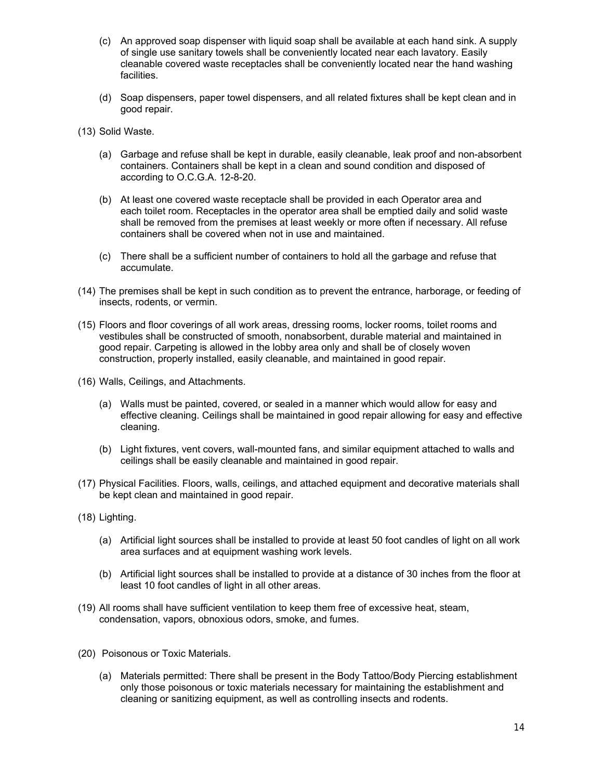- (c) An approved soap dispenser with liquid soap shall be available at each hand sink. A supply of single use sanitary towels shall be conveniently located near each lavatory. Easily cleanable covered waste receptacles shall be conveniently located near the hand washing facilities.
- (d) Soap dispensers, paper towel dispensers, and all related fixtures shall be kept clean and in good repair.
- (13) Solid Waste.
	- (a) Garbage and refuse shall be kept in durable, easily cleanable, leak proof and non-absorbent containers. Containers shall be kept in a clean and sound condition and disposed of according to O.C.G.A. 12-8-20.
	- (b) At least one covered waste receptacle shall be provided in each Operator area and each toilet room. Receptacles in the operator area shall be emptied daily and solid waste shall be removed from the premises at least weekly or more often if necessary. All refuse containers shall be covered when not in use and maintained.
	- (c) There shall be a sufficient number of containers to hold all the garbage and refuse that accumulate.
- (14) The premises shall be kept in such condition as to prevent the entrance, harborage, or feeding of insects, rodents, or vermin.
- (15) Floors and floor coverings of all work areas, dressing rooms, locker rooms, toilet rooms and vestibules shall be constructed of smooth, nonabsorbent, durable material and maintained in good repair. Carpeting is allowed in the lobby area only and shall be of closely woven construction, properly installed, easily cleanable, and maintained in good repair.
- (16) Walls, Ceilings, and Attachments.
	- (a) Walls must be painted, covered, or sealed in a manner which would allow for easy and effective cleaning. Ceilings shall be maintained in good repair allowing for easy and effective cleaning.
	- (b) Light fixtures, vent covers, wall-mounted fans, and similar equipment attached to walls and ceilings shall be easily cleanable and maintained in good repair.
- (17) Physical Facilities. Floors, walls, ceilings, and attached equipment and decorative materials shall be kept clean and maintained in good repair.
- (18) Lighting.
	- (a) Artificial light sources shall be installed to provide at least 50 foot candles of light on all work area surfaces and at equipment washing work levels.
	- (b) Artificial light sources shall be installed to provide at a distance of 30 inches from the floor at least 10 foot candles of light in all other areas.
- (19) All rooms shall have sufficient ventilation to keep them free of excessive heat, steam, condensation, vapors, obnoxious odors, smoke, and fumes.
- (20) Poisonous or Toxic Materials.
	- (a) Materials permitted: There shall be present in the Body Tattoo/Body Piercing establishment only those poisonous or toxic materials necessary for maintaining the establishment and cleaning or sanitizing equipment, as well as controlling insects and rodents.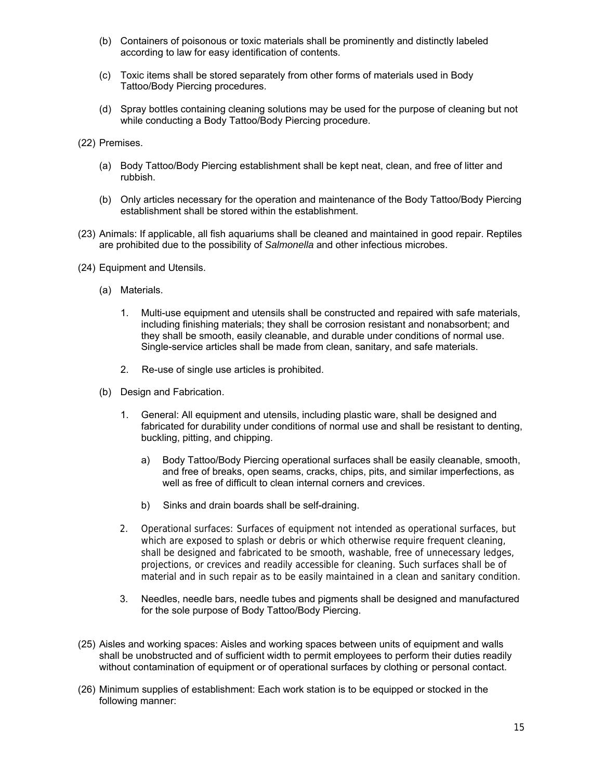- (b) Containers of poisonous or toxic materials shall be prominently and distinctly labeled according to law for easy identification of contents.
- (c) Toxic items shall be stored separately from other forms of materials used in Body Tattoo/Body Piercing procedures.
- (d) Spray bottles containing cleaning solutions may be used for the purpose of cleaning but not while conducting a Body Tattoo/Body Piercing procedure.
- (22) Premises.
	- (a) Body Tattoo/Body Piercing establishment shall be kept neat, clean, and free of litter and rubbish.
	- (b) Only articles necessary for the operation and maintenance of the Body Tattoo/Body Piercing establishment shall be stored within the establishment.
- (23) Animals: If applicable, all fish aquariums shall be cleaned and maintained in good repair. Reptiles are prohibited due to the possibility of *Salmonella* and other infectious microbes.
- (24) Equipment and Utensils.
	- (a) Materials.
		- 1. Multi-use equipment and utensils shall be constructed and repaired with safe materials, including finishing materials; they shall be corrosion resistant and nonabsorbent; and they shall be smooth, easily cleanable, and durable under conditions of normal use. Single-service articles shall be made from clean, sanitary, and safe materials.
		- 2. Re-use of single use articles is prohibited.
	- (b) Design and Fabrication.
		- 1. General: All equipment and utensils, including plastic ware, shall be designed and fabricated for durability under conditions of normal use and shall be resistant to denting, buckling, pitting, and chipping.
			- a) Body Tattoo/Body Piercing operational surfaces shall be easily cleanable, smooth, and free of breaks, open seams, cracks, chips, pits, and similar imperfections, as well as free of difficult to clean internal corners and crevices.
			- b) Sinks and drain boards shall be self-draining.
		- 2. Operational surfaces: Surfaces of equipment not intended as operational surfaces, but which are exposed to splash or debris or which otherwise require frequent cleaning, shall be designed and fabricated to be smooth, washable, free of unnecessary ledges, projections, or crevices and readily accessible for cleaning. Such surfaces shall be of material and in such repair as to be easily maintained in a clean and sanitary condition.
		- 3. Needles, needle bars, needle tubes and pigments shall be designed and manufactured for the sole purpose of Body Tattoo/Body Piercing.
- (25) Aisles and working spaces: Aisles and working spaces between units of equipment and walls shall be unobstructed and of sufficient width to permit employees to perform their duties readily without contamination of equipment or of operational surfaces by clothing or personal contact.
- (26) Minimum supplies of establishment: Each work station is to be equipped or stocked in the following manner: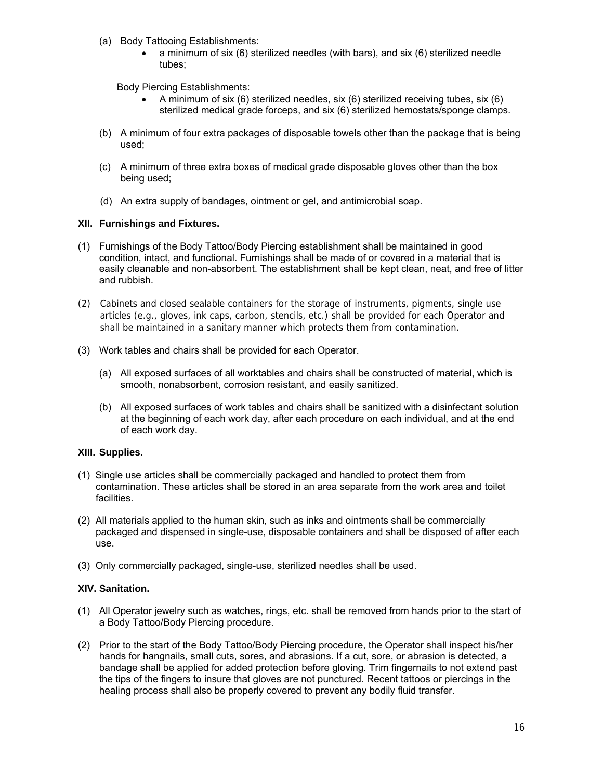- (a) Body Tattooing Establishments:
	- a minimum of six (6) sterilized needles (with bars), and six (6) sterilized needle tubes;

Body Piercing Establishments:

- A minimum of six (6) sterilized needles, six (6) sterilized receiving tubes, six (6) sterilized medical grade forceps, and six (6) sterilized hemostats/sponge clamps.
- (b) A minimum of four extra packages of disposable towels other than the package that is being used;
- (c) A minimum of three extra boxes of medical grade disposable gloves other than the box being used;
- (d) An extra supply of bandages, ointment or gel, and antimicrobial soap.

## **XII. Furnishings and Fixtures.**

- (1) Furnishings of the Body Tattoo/Body Piercing establishment shall be maintained in good condition, intact, and functional. Furnishings shall be made of or covered in a material that is easily cleanable and non-absorbent. The establishment shall be kept clean, neat, and free of litter and rubbish.
- (2) Cabinets and closed sealable containers for the storage of instruments, pigments, single use articles (e.g., gloves, ink caps, carbon, stencils, etc.) shall be provided for each Operator and shall be maintained in a sanitary manner which protects them from contamination.
- (3) Work tables and chairs shall be provided for each Operator.
	- (a) All exposed surfaces of all worktables and chairs shall be constructed of material, which is smooth, nonabsorbent, corrosion resistant, and easily sanitized.
	- (b) All exposed surfaces of work tables and chairs shall be sanitized with a disinfectant solution at the beginning of each work day, after each procedure on each individual, and at the end of each work day.

# **XIII. Supplies.**

- (1) Single use articles shall be commercially packaged and handled to protect them from contamination. These articles shall be stored in an area separate from the work area and toilet facilities.
- (2) All materials applied to the human skin, such as inks and ointments shall be commercially packaged and dispensed in single-use, disposable containers and shall be disposed of after each use.
- (3) Only commercially packaged, single-use, sterilized needles shall be used.

# **XIV. Sanitation.**

- (1) All Operator jewelry such as watches, rings, etc. shall be removed from hands prior to the start of a Body Tattoo/Body Piercing procedure.
- (2) Prior to the start of the Body Tattoo/Body Piercing procedure, the Operator shall inspect his/her hands for hangnails, small cuts, sores, and abrasions. If a cut, sore, or abrasion is detected, a bandage shall be applied for added protection before gloving. Trim fingernails to not extend past the tips of the fingers to insure that gloves are not punctured. Recent tattoos or piercings in the healing process shall also be properly covered to prevent any bodily fluid transfer.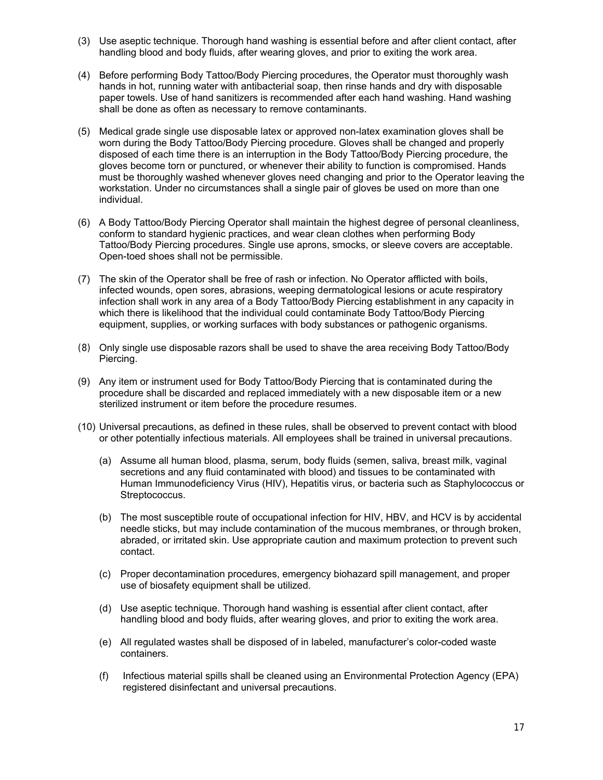- (3) Use aseptic technique. Thorough hand washing is essential before and after client contact, after handling blood and body fluids, after wearing gloves, and prior to exiting the work area.
- (4) Before performing Body Tattoo/Body Piercing procedures, the Operator must thoroughly wash hands in hot, running water with antibacterial soap, then rinse hands and dry with disposable paper towels. Use of hand sanitizers is recommended after each hand washing. Hand washing shall be done as often as necessary to remove contaminants.
- (5) Medical grade single use disposable latex or approved non-latex examination gloves shall be worn during the Body Tattoo/Body Piercing procedure. Gloves shall be changed and properly disposed of each time there is an interruption in the Body Tattoo/Body Piercing procedure, the gloves become torn or punctured, or whenever their ability to function is compromised. Hands must be thoroughly washed whenever gloves need changing and prior to the Operator leaving the workstation. Under no circumstances shall a single pair of gloves be used on more than one individual.
- (6) A Body Tattoo/Body Piercing Operator shall maintain the highest degree of personal cleanliness, conform to standard hygienic practices, and wear clean clothes when performing Body Tattoo/Body Piercing procedures. Single use aprons, smocks, or sleeve covers are acceptable. Open-toed shoes shall not be permissible.
- (7) The skin of the Operator shall be free of rash or infection. No Operator afflicted with boils, infected wounds, open sores, abrasions, weeping dermatological lesions or acute respiratory infection shall work in any area of a Body Tattoo/Body Piercing establishment in any capacity in which there is likelihood that the individual could contaminate Body Tattoo/Body Piercing equipment, supplies, or working surfaces with body substances or pathogenic organisms.
- (8) Only single use disposable razors shall be used to shave the area receiving Body Tattoo/Body Piercing.
- (9) Any item or instrument used for Body Tattoo/Body Piercing that is contaminated during the procedure shall be discarded and replaced immediately with a new disposable item or a new sterilized instrument or item before the procedure resumes.
- (10) Universal precautions, as defined in these rules, shall be observed to prevent contact with blood or other potentially infectious materials. All employees shall be trained in universal precautions.
	- (a) Assume all human blood, plasma, serum, body fluids (semen, saliva, breast milk, vaginal secretions and any fluid contaminated with blood) and tissues to be contaminated with Human Immunodeficiency Virus (HIV), Hepatitis virus, or bacteria such as Staphylococcus or Streptococcus.
	- (b) The most susceptible route of occupational infection for HIV, HBV, and HCV is by accidental needle sticks, but may include contamination of the mucous membranes, or through broken, abraded, or irritated skin. Use appropriate caution and maximum protection to prevent such contact.
	- (c) Proper decontamination procedures, emergency biohazard spill management, and proper use of biosafety equipment shall be utilized.
	- (d) Use aseptic technique. Thorough hand washing is essential after client contact, after handling blood and body fluids, after wearing gloves, and prior to exiting the work area.
	- (e) All regulated wastes shall be disposed of in labeled, manufacturer's color-coded waste containers.
	- (f) Infectious material spills shall be cleaned using an Environmental Protection Agency (EPA) registered disinfectant and universal precautions.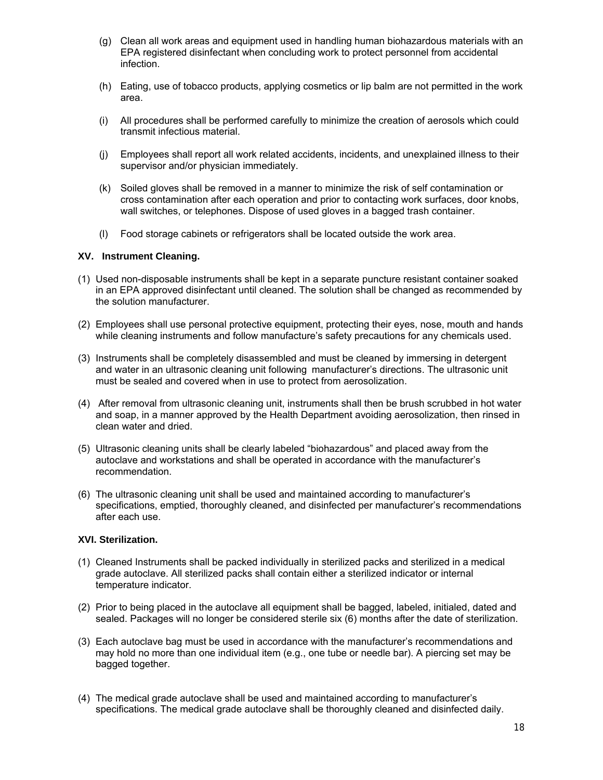- (g) Clean all work areas and equipment used in handling human biohazardous materials with an EPA registered disinfectant when concluding work to protect personnel from accidental infection.
- (h) Eating, use of tobacco products, applying cosmetics or lip balm are not permitted in the work area.
- (i) All procedures shall be performed carefully to minimize the creation of aerosols which could transmit infectious material.
- (j) Employees shall report all work related accidents, incidents, and unexplained illness to their supervisor and/or physician immediately.
- (k) Soiled gloves shall be removed in a manner to minimize the risk of self contamination or cross contamination after each operation and prior to contacting work surfaces, door knobs, wall switches, or telephones. Dispose of used gloves in a bagged trash container.
- (l) Food storage cabinets or refrigerators shall be located outside the work area.

#### **XV. Instrument Cleaning.**

- (1) Used non-disposable instruments shall be kept in a separate puncture resistant container soaked in an EPA approved disinfectant until cleaned. The solution shall be changed as recommended by the solution manufacturer.
- (2) Employees shall use personal protective equipment, protecting their eyes, nose, mouth and hands while cleaning instruments and follow manufacture's safety precautions for any chemicals used.
- (3) Instruments shall be completely disassembled and must be cleaned by immersing in detergent and water in an ultrasonic cleaning unit following manufacturer's directions. The ultrasonic unit must be sealed and covered when in use to protect from aerosolization.
- (4) After removal from ultrasonic cleaning unit, instruments shall then be brush scrubbed in hot water and soap, in a manner approved by the Health Department avoiding aerosolization, then rinsed in clean water and dried.
- (5) Ultrasonic cleaning units shall be clearly labeled "biohazardous" and placed away from the autoclave and workstations and shall be operated in accordance with the manufacturer's recommendation.
- (6) The ultrasonic cleaning unit shall be used and maintained according to manufacturer's specifications, emptied, thoroughly cleaned, and disinfected per manufacturer's recommendations after each use.

#### **XVI. Sterilization.**

- (1) Cleaned Instruments shall be packed individually in sterilized packs and sterilized in a medical grade autoclave. All sterilized packs shall contain either a sterilized indicator or internal temperature indicator.
- (2) Prior to being placed in the autoclave all equipment shall be bagged, labeled, initialed, dated and sealed. Packages will no longer be considered sterile six (6) months after the date of sterilization.
- (3) Each autoclave bag must be used in accordance with the manufacturer's recommendations and may hold no more than one individual item (e.g., one tube or needle bar). A piercing set may be bagged together.
- (4) The medical grade autoclave shall be used and maintained according to manufacturer's specifications. The medical grade autoclave shall be thoroughly cleaned and disinfected daily.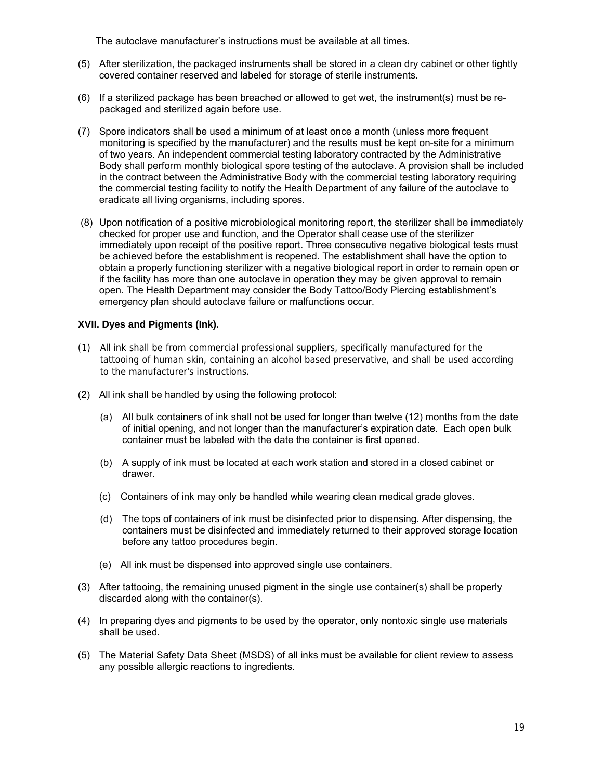The autoclave manufacturer's instructions must be available at all times.

- (5) After sterilization, the packaged instruments shall be stored in a clean dry cabinet or other tightly covered container reserved and labeled for storage of sterile instruments.
- (6) If a sterilized package has been breached or allowed to get wet, the instrument(s) must be repackaged and sterilized again before use.
- (7) Spore indicators shall be used a minimum of at least once a month (unless more frequent monitoring is specified by the manufacturer) and the results must be kept on-site for a minimum of two years. An independent commercial testing laboratory contracted by the Administrative Body shall perform monthly biological spore testing of the autoclave. A provision shall be included in the contract between the Administrative Body with the commercial testing laboratory requiring the commercial testing facility to notify the Health Department of any failure of the autoclave to eradicate all living organisms, including spores.
- (8) Upon notification of a positive microbiological monitoring report, the sterilizer shall be immediately checked for proper use and function, and the Operator shall cease use of the sterilizer immediately upon receipt of the positive report. Three consecutive negative biological tests must be achieved before the establishment is reopened. The establishment shall have the option to obtain a properly functioning sterilizer with a negative biological report in order to remain open or if the facility has more than one autoclave in operation they may be given approval to remain open. The Health Department may consider the Body Tattoo/Body Piercing establishment's emergency plan should autoclave failure or malfunctions occur.

# **XVII. Dyes and Pigments (Ink).**

- (1) All ink shall be from commercial professional suppliers, specifically manufactured for the tattooing of human skin, containing an alcohol based preservative, and shall be used according to the manufacturer's instructions.
- (2) All ink shall be handled by using the following protocol:
	- (a) All bulk containers of ink shall not be used for longer than twelve (12) months from the date of initial opening, and not longer than the manufacturer's expiration date. Each open bulk container must be labeled with the date the container is first opened.
	- (b) A supply of ink must be located at each work station and stored in a closed cabinet or drawer.
	- (c) Containers of ink may only be handled while wearing clean medical grade gloves.
	- (d) The tops of containers of ink must be disinfected prior to dispensing. After dispensing, the containers must be disinfected and immediately returned to their approved storage location before any tattoo procedures begin.
	- (e) All ink must be dispensed into approved single use containers.
- (3) After tattooing, the remaining unused pigment in the single use container(s) shall be properly discarded along with the container(s).
- (4) In preparing dyes and pigments to be used by the operator, only nontoxic single use materials shall be used.
- (5) The Material Safety Data Sheet (MSDS) of all inks must be available for client review to assess any possible allergic reactions to ingredients.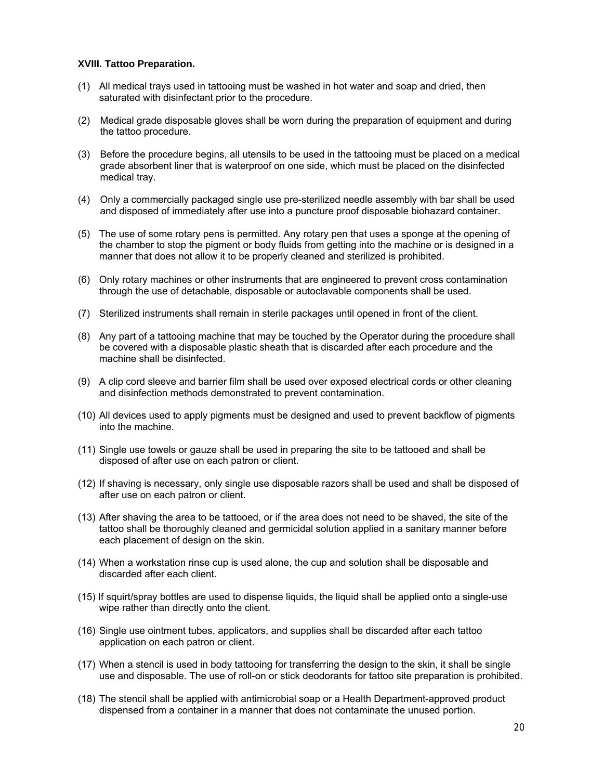#### **XVIII. Tattoo Preparation.**

- (1) All medical trays used in tattooing must be washed in hot water and soap and dried, then saturated with disinfectant prior to the procedure.
- (2) Medical grade disposable gloves shall be worn during the preparation of equipment and during the tattoo procedure.
- (3) Before the procedure begins, all utensils to be used in the tattooing must be placed on a medical grade absorbent liner that is waterproof on one side, which must be placed on the disinfected medical tray.
- (4) Only a commercially packaged single use pre-sterilized needle assembly with bar shall be used and disposed of immediately after use into a puncture proof disposable biohazard container.
- (5) The use of some rotary pens is permitted. Any rotary pen that uses a sponge at the opening of the chamber to stop the pigment or body fluids from getting into the machine or is designed in a manner that does not allow it to be properly cleaned and sterilized is prohibited.
- (6) Only rotary machines or other instruments that are engineered to prevent cross contamination through the use of detachable, disposable or autoclavable components shall be used.
- (7) Sterilized instruments shall remain in sterile packages until opened in front of the client.
- (8) Any part of a tattooing machine that may be touched by the Operator during the procedure shall be covered with a disposable plastic sheath that is discarded after each procedure and the machine shall be disinfected.
- (9) A clip cord sleeve and barrier film shall be used over exposed electrical cords or other cleaning and disinfection methods demonstrated to prevent contamination.
- (10) All devices used to apply pigments must be designed and used to prevent backflow of pigments into the machine.
- (11) Single use towels or gauze shall be used in preparing the site to be tattooed and shall be disposed of after use on each patron or client.
- (12) If shaving is necessary, only single use disposable razors shall be used and shall be disposed of after use on each patron or client.
- (13) After shaving the area to be tattooed, or if the area does not need to be shaved, the site of the tattoo shall be thoroughly cleaned and germicidal solution applied in a sanitary manner before each placement of design on the skin.
- (14) When a workstation rinse cup is used alone, the cup and solution shall be disposable and discarded after each client.
- (15) If squirt/spray bottles are used to dispense liquids, the liquid shall be applied onto a single-use wipe rather than directly onto the client.
- (16) Single use ointment tubes, applicators, and supplies shall be discarded after each tattoo application on each patron or client.
- (17) When a stencil is used in body tattooing for transferring the design to the skin, it shall be single use and disposable. The use of roll-on or stick deodorants for tattoo site preparation is prohibited.
- (18) The stencil shall be applied with antimicrobial soap or a Health Department-approved product dispensed from a container in a manner that does not contaminate the unused portion.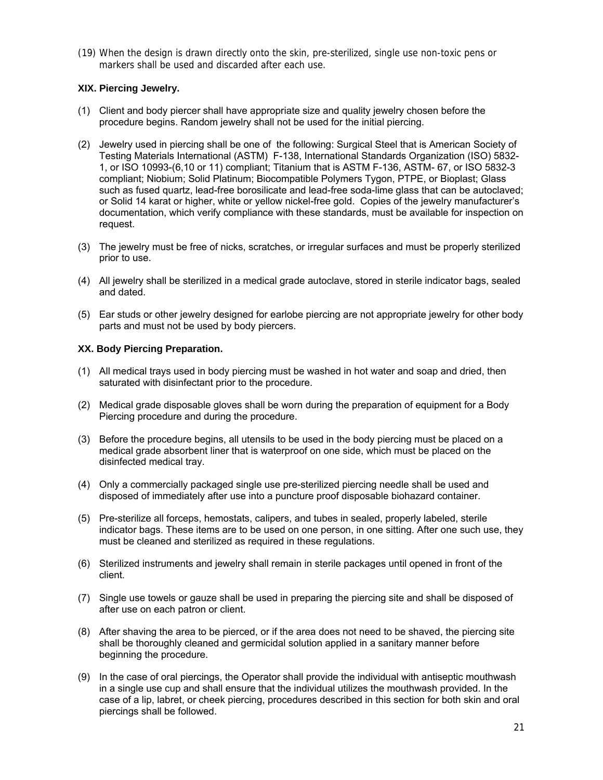(19) When the design is drawn directly onto the skin, pre-sterilized, single use non-toxic pens or markers shall be used and discarded after each use.

## **XIX. Piercing Jewelry.**

- (1) Client and body piercer shall have appropriate size and quality jewelry chosen before the procedure begins. Random jewelry shall not be used for the initial piercing.
- (2) Jewelry used in piercing shall be one of the following: Surgical Steel that is American Society of Testing Materials International (ASTM) F-138, International Standards Organization (ISO) 5832- 1, or ISO 10993-(6,10 or 11) compliant; Titanium that is ASTM F-136, ASTM- 67, or ISO 5832-3 compliant; Niobium; Solid Platinum; Biocompatible Polymers Tygon, PTPE, or Bioplast; Glass such as fused quartz, lead-free borosilicate and lead-free soda-lime glass that can be autoclaved; or Solid 14 karat or higher, white or yellow nickel-free gold. Copies of the jewelry manufacturer's documentation, which verify compliance with these standards, must be available for inspection on request.
- (3) The jewelry must be free of nicks, scratches, or irregular surfaces and must be properly sterilized prior to use.
- (4) All jewelry shall be sterilized in a medical grade autoclave, stored in sterile indicator bags, sealed and dated.
- (5) Ear studs or other jewelry designed for earlobe piercing are not appropriate jewelry for other body parts and must not be used by body piercers.

## **XX. Body Piercing Preparation.**

- (1) All medical trays used in body piercing must be washed in hot water and soap and dried, then saturated with disinfectant prior to the procedure.
- (2) Medical grade disposable gloves shall be worn during the preparation of equipment for a Body Piercing procedure and during the procedure.
- (3) Before the procedure begins, all utensils to be used in the body piercing must be placed on a medical grade absorbent liner that is waterproof on one side, which must be placed on the disinfected medical tray.
- (4) Only a commercially packaged single use pre-sterilized piercing needle shall be used and disposed of immediately after use into a puncture proof disposable biohazard container.
- (5) Pre-sterilize all forceps, hemostats, calipers, and tubes in sealed, properly labeled, sterile indicator bags. These items are to be used on one person, in one sitting. After one such use, they must be cleaned and sterilized as required in these regulations.
- (6) Sterilized instruments and jewelry shall remain in sterile packages until opened in front of the client.
- (7) Single use towels or gauze shall be used in preparing the piercing site and shall be disposed of after use on each patron or client.
- (8) After shaving the area to be pierced, or if the area does not need to be shaved, the piercing site shall be thoroughly cleaned and germicidal solution applied in a sanitary manner before beginning the procedure.
- (9) In the case of oral piercings, the Operator shall provide the individual with antiseptic mouthwash in a single use cup and shall ensure that the individual utilizes the mouthwash provided. In the case of a lip, labret, or cheek piercing, procedures described in this section for both skin and oral piercings shall be followed.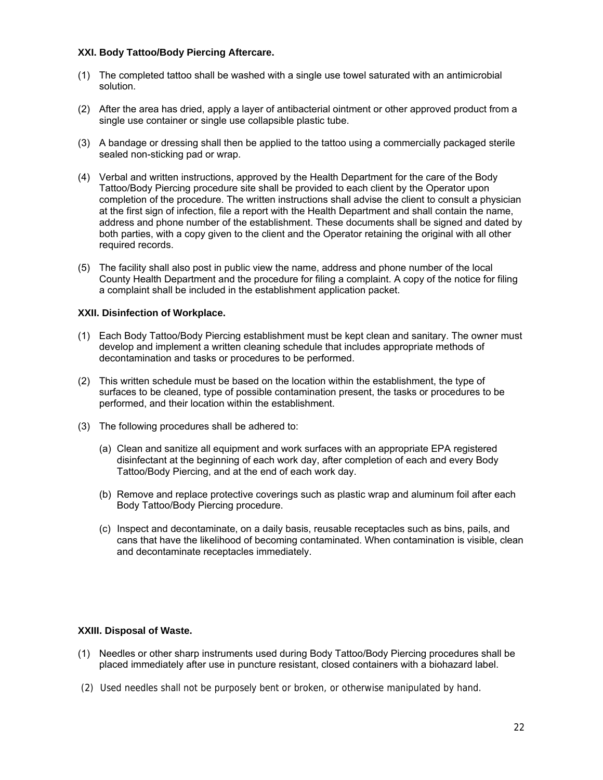### **XXI. Body Tattoo/Body Piercing Aftercare.**

- (1) The completed tattoo shall be washed with a single use towel saturated with an antimicrobial solution.
- (2) After the area has dried, apply a layer of antibacterial ointment or other approved product from a single use container or single use collapsible plastic tube.
- (3) A bandage or dressing shall then be applied to the tattoo using a commercially packaged sterile sealed non-sticking pad or wrap.
- (4) Verbal and written instructions, approved by the Health Department for the care of the Body Tattoo/Body Piercing procedure site shall be provided to each client by the Operator upon completion of the procedure. The written instructions shall advise the client to consult a physician at the first sign of infection, file a report with the Health Department and shall contain the name, address and phone number of the establishment. These documents shall be signed and dated by both parties, with a copy given to the client and the Operator retaining the original with all other required records.
- (5) The facility shall also post in public view the name, address and phone number of the local County Health Department and the procedure for filing a complaint. A copy of the notice for filing a complaint shall be included in the establishment application packet.

#### **XXII. Disinfection of Workplace.**

- (1) Each Body Tattoo/Body Piercing establishment must be kept clean and sanitary. The owner must develop and implement a written cleaning schedule that includes appropriate methods of decontamination and tasks or procedures to be performed.
- (2) This written schedule must be based on the location within the establishment, the type of surfaces to be cleaned, type of possible contamination present, the tasks or procedures to be performed, and their location within the establishment.
- (3) The following procedures shall be adhered to:
	- (a) Clean and sanitize all equipment and work surfaces with an appropriate EPA registered disinfectant at the beginning of each work day, after completion of each and every Body Tattoo/Body Piercing, and at the end of each work day.
	- (b) Remove and replace protective coverings such as plastic wrap and aluminum foil after each Body Tattoo/Body Piercing procedure.
	- (c) Inspect and decontaminate, on a daily basis, reusable receptacles such as bins, pails, and cans that have the likelihood of becoming contaminated. When contamination is visible, clean and decontaminate receptacles immediately.

# **XXIII. Disposal of Waste.**

- (1) Needles or other sharp instruments used during Body Tattoo/Body Piercing procedures shall be placed immediately after use in puncture resistant, closed containers with a biohazard label.
- (2) Used needles shall not be purposely bent or broken, or otherwise manipulated by hand.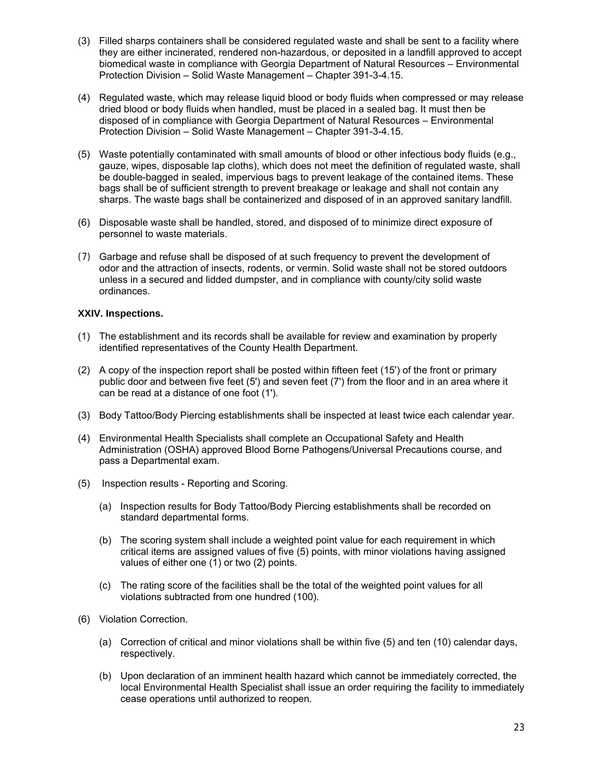- (3) Filled sharps containers shall be considered regulated waste and shall be sent to a facility where they are either incinerated, rendered non-hazardous, or deposited in a landfill approved to accept biomedical waste in compliance with Georgia Department of Natural Resources – Environmental Protection Division – Solid Waste Management – Chapter 391-3-4.15.
- (4) Regulated waste, which may release liquid blood or body fluids when compressed or may release dried blood or body fluids when handled, must be placed in a sealed bag. It must then be disposed of in compliance with Georgia Department of Natural Resources – Environmental Protection Division – Solid Waste Management – Chapter 391-3-4.15.
- (5) Waste potentially contaminated with small amounts of blood or other infectious body fluids (e.g., gauze, wipes, disposable lap cloths), which does not meet the definition of regulated waste, shall be double-bagged in sealed, impervious bags to prevent leakage of the contained items. These bags shall be of sufficient strength to prevent breakage or leakage and shall not contain any sharps. The waste bags shall be containerized and disposed of in an approved sanitary landfill.
- (6) Disposable waste shall be handled, stored, and disposed of to minimize direct exposure of personnel to waste materials.
- (7) Garbage and refuse shall be disposed of at such frequency to prevent the development of odor and the attraction of insects, rodents, or vermin. Solid waste shall not be stored outdoors unless in a secured and lidded dumpster, and in compliance with county/city solid waste ordinances.

## **XXIV. Inspections.**

- (1) The establishment and its records shall be available for review and examination by properly identified representatives of the County Health Department.
- (2) A copy of the inspection report shall be posted within fifteen feet (15') of the front or primary public door and between five feet (5') and seven feet (7') from the floor and in an area where it can be read at a distance of one foot (1').
- (3) Body Tattoo/Body Piercing establishments shall be inspected at least twice each calendar year.
- (4) Environmental Health Specialists shall complete an Occupational Safety and Health Administration (OSHA) approved Blood Borne Pathogens/Universal Precautions course, and pass a Departmental exam.
- (5) Inspection results Reporting and Scoring.
	- (a) Inspection results for Body Tattoo/Body Piercing establishments shall be recorded on standard departmental forms.
	- (b) The scoring system shall include a weighted point value for each requirement in which critical items are assigned values of five (5) points, with minor violations having assigned values of either one (1) or two (2) points.
	- (c) The rating score of the facilities shall be the total of the weighted point values for all violations subtracted from one hundred (100).
- (6) Violation Correction.
	- (a) Correction of critical and minor violations shall be within five (5) and ten (10) calendar days, respectively.
	- (b) Upon declaration of an imminent health hazard which cannot be immediately corrected, the local Environmental Health Specialist shall issue an order requiring the facility to immediately cease operations until authorized to reopen.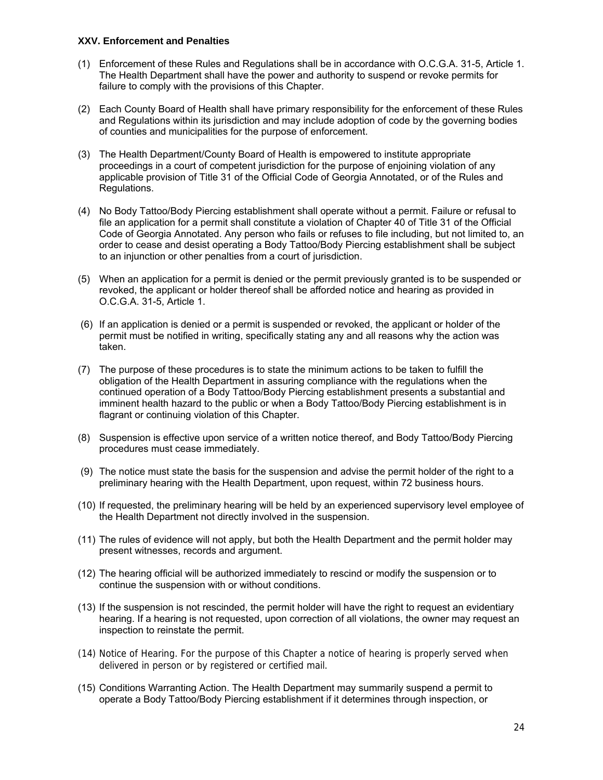#### **XXV. Enforcement and Penalties**

- (1) Enforcement of these Rules and Regulations shall be in accordance with O.C.G.A. 31-5, Article 1. The Health Department shall have the power and authority to suspend or revoke permits for failure to comply with the provisions of this Chapter.
- (2) Each County Board of Health shall have primary responsibility for the enforcement of these Rules and Regulations within its jurisdiction and may include adoption of code by the governing bodies of counties and municipalities for the purpose of enforcement.
- (3) The Health Department/County Board of Health is empowered to institute appropriate proceedings in a court of competent jurisdiction for the purpose of enjoining violation of any applicable provision of Title 31 of the Official Code of Georgia Annotated, or of the Rules and Regulations.
- (4) No Body Tattoo/Body Piercing establishment shall operate without a permit. Failure or refusal to file an application for a permit shall constitute a violation of Chapter 40 of Title 31 of the Official Code of Georgia Annotated. Any person who fails or refuses to file including, but not limited to, an order to cease and desist operating a Body Tattoo/Body Piercing establishment shall be subject to an injunction or other penalties from a court of jurisdiction.
- (5) When an application for a permit is denied or the permit previously granted is to be suspended or revoked, the applicant or holder thereof shall be afforded notice and hearing as provided in O.C.G.A. 31-5, Article 1.
- (6) If an application is denied or a permit is suspended or revoked, the applicant or holder of the permit must be notified in writing, specifically stating any and all reasons why the action was taken.
- (7) The purpose of these procedures is to state the minimum actions to be taken to fulfill the obligation of the Health Department in assuring compliance with the regulations when the continued operation of a Body Tattoo/Body Piercing establishment presents a substantial and imminent health hazard to the public or when a Body Tattoo/Body Piercing establishment is in flagrant or continuing violation of this Chapter.
- (8) Suspension is effective upon service of a written notice thereof, and Body Tattoo/Body Piercing procedures must cease immediately.
- (9) The notice must state the basis for the suspension and advise the permit holder of the right to a preliminary hearing with the Health Department, upon request, within 72 business hours.
- (10) If requested, the preliminary hearing will be held by an experienced supervisory level employee of the Health Department not directly involved in the suspension.
- (11) The rules of evidence will not apply, but both the Health Department and the permit holder may present witnesses, records and argument.
- (12) The hearing official will be authorized immediately to rescind or modify the suspension or to continue the suspension with or without conditions.
- (13) If the suspension is not rescinded, the permit holder will have the right to request an evidentiary hearing. If a hearing is not requested, upon correction of all violations, the owner may request an inspection to reinstate the permit.
- (14) Notice of Hearing. For the purpose of this Chapter a notice of hearing is properly served when delivered in person or by registered or certified mail.
- (15) Conditions Warranting Action. The Health Department may summarily suspend a permit to operate a Body Tattoo/Body Piercing establishment if it determines through inspection, or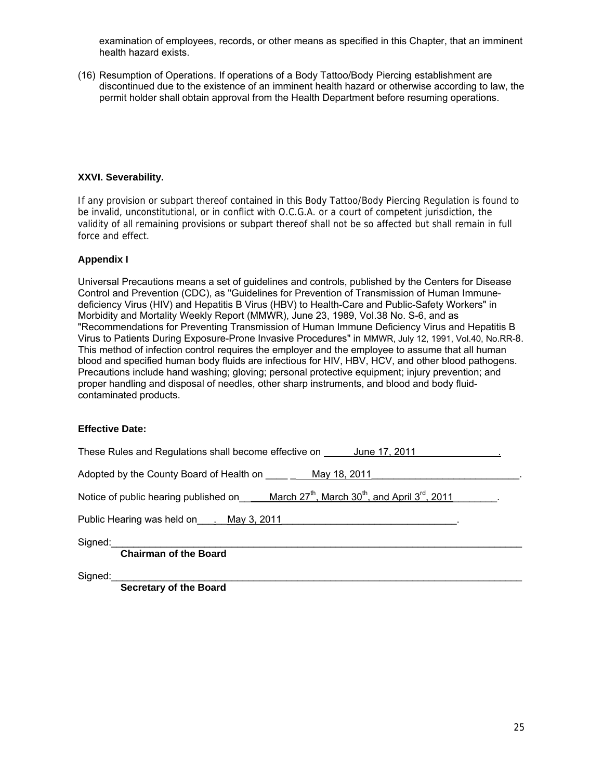examination of employees, records, or other means as specified in this Chapter, that an imminent health hazard exists.

(16) Resumption of Operations. If operations of a Body Tattoo/Body Piercing establishment are discontinued due to the existence of an imminent health hazard or otherwise according to law, the permit holder shall obtain approval from the Health Department before resuming operations.

## **XXVI. Severability.**

If any provision or subpart thereof contained in this Body Tattoo/Body Piercing Regulation is found to be invalid, unconstitutional, or in conflict with O.C.G.A. or a court of competent jurisdiction, the validity of all remaining provisions or subpart thereof shall not be so affected but shall remain in full force and effect.

# **Appendix I**

Universal Precautions means a set of guidelines and controls, published by the Centers for Disease Control and Prevention (CDC), as "Guidelines for Prevention of Transmission of Human Immunedeficiency Virus (HIV) and Hepatitis B Virus (HBV) to Health-Care and Public-Safety Workers" in Morbidity and Mortality Weekly Report (MMWR), June 23, 1989, Vol.38 No. S-6, and as "Recommendations for Preventing Transmission of Human Immune Deficiency Virus and Hepatitis B Virus to Patients During Exposure-Prone Invasive Procedures" in MMWR, July 12, 1991, Vol.40, No.RR-8. This method of infection control requires the employer and the employee to assume that all human blood and specified human body fluids are infectious for HIV, HBV, HCV, and other blood pathogens. Precautions include hand washing; gloving; personal protective equipment; injury prevention; and proper handling and disposal of needles, other sharp instruments, and blood and body fluidcontaminated products.

#### **Effective Date:**

| These Rules and Regulations shall become effective on June 17, 2011                                                      |  |  |
|--------------------------------------------------------------------------------------------------------------------------|--|--|
| Adopted by the County Board of Health on __________ May 18, 2011                                                         |  |  |
| Notice of public hearing published on March $27^{\text{th}}$ , March $30^{\text{th}}$ , and April $3^{\text{rd}}$ , 2011 |  |  |
| Public Hearing was held on New York 2011                                                                                 |  |  |
| Signed:<br><b>Chairman of the Board</b>                                                                                  |  |  |
| Signed:<br>Constant of the Desire                                                                                        |  |  |

**Secretary of the Board**